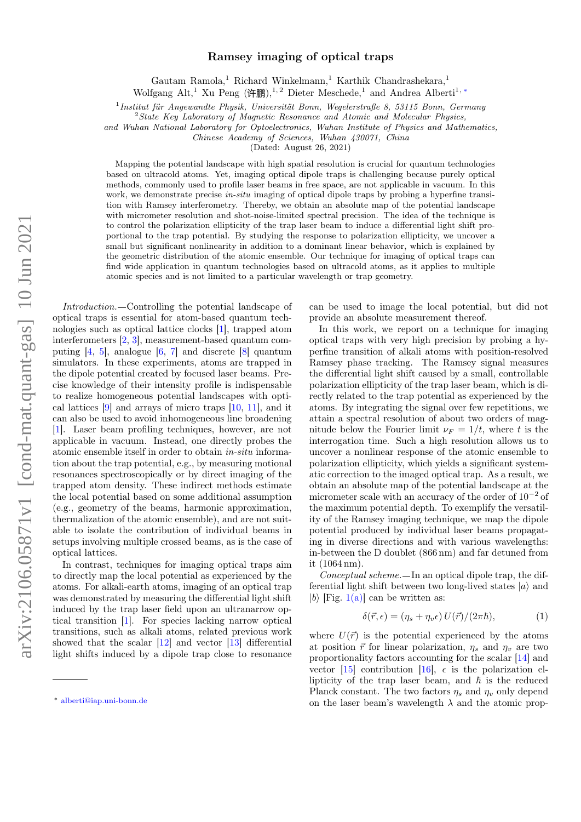## $arXiv:2106.05871v1$  [cond-mat.quant-gas] 10 Jun 2021 arXiv:2106.05871v1 [cond-mat.quant-gas] 10 Jun 2021

## Ramsey imaging of optical traps

Gautam Ramola,<br/> $^1$  Richard Winkelmann, $^1$  Karthik Chandrashekara,<br/>  $^1$ 

Wolfgang Alt,<sup>1</sup> Xu Peng (许鹏),<sup>1,2</sup> Dieter Meschede,<sup>1</sup> and Andrea Alberti<sup>1,\*</sup>

1 Institut für Angewandte Physik, Universität Bonn, Wegelerstraße 8, 53115 Bonn, Germany

 $2$ State Key Laboratory of Magnetic Resonance and Atomic and Molecular Physics,

and Wuhan National Laboratory for Optoelectronics, Wuhan Institute of Physics and Mathematics,

Chinese Academy of Sciences, Wuhan 430071, China

(Dated: August 26, 2021)

Mapping the potential landscape with high spatial resolution is crucial for quantum technologies based on ultracold atoms. Yet, imaging optical dipole traps is challenging because purely optical methods, commonly used to profile laser beams in free space, are not applicable in vacuum. In this work, we demonstrate precise *in-situ* imaging of optical dipole traps by probing a hyperfine transition with Ramsey interferometry. Thereby, we obtain an absolute map of the potential landscape with micrometer resolution and shot-noise-limited spectral precision. The idea of the technique is to control the polarization ellipticity of the trap laser beam to induce a differential light shift proportional to the trap potential. By studying the response to polarization ellipticity, we uncover a small but significant nonlinearity in addition to a dominant linear behavior, which is explained by the geometric distribution of the atomic ensemble. Our technique for imaging of optical traps can find wide application in quantum technologies based on ultracold atoms, as it applies to multiple atomic species and is not limited to a particular wavelength or trap geometry.

Introduction. Controlling the potential landscape of optical traps is essential for atom-based quantum technologies such as optical lattice clocks [\[1\]](#page-5-0), trapped atom interferometers [\[2,](#page-5-1) [3\]](#page-5-2), measurement-based quantum computing [\[4,](#page-5-3) [5\]](#page-5-4), analogue [\[6,](#page-5-5) [7\]](#page-5-6) and discrete [\[8\]](#page-5-7) quantum simulators. In these experiments, atoms are trapped in the dipole potential created by focused laser beams. Precise knowledge of their intensity profile is indispensable to realize homogeneous potential landscapes with optical lattices [\[9\]](#page-5-8) and arrays of micro traps [\[10,](#page-5-9) [11\]](#page-5-10), and it can also be used to avoid inhomogeneous line broadening [\[1\]](#page-5-0). Laser beam profiling techniques, however, are not applicable in vacuum. Instead, one directly probes the atomic ensemble itself in order to obtain in-situ information about the trap potential, e.g., by measuring motional resonances spectroscopically or by direct imaging of the trapped atom density. These indirect methods estimate the local potential based on some additional assumption (e.g., geometry of the beams, harmonic approximation, thermalization of the atomic ensemble), and are not suitable to isolate the contribution of individual beams in setups involving multiple crossed beams, as is the case of optical lattices.

In contrast, techniques for imaging optical traps aim to directly map the local potential as experienced by the atoms. For alkali-earth atoms, imaging of an optical trap was demonstrated by measuring the differential light shift induced by the trap laser field upon an ultranarrow optical transition [\[1\]](#page-5-0). For species lacking narrow optical transitions, such as alkali atoms, related previous work showed that the scalar  $[12]$  and vector  $[13]$  differential light shifts induced by a dipole trap close to resonance

can be used to image the local potential, but did not provide an absolute measurement thereof.

In this work, we report on a technique for imaging optical traps with very high precision by probing a hyperfine transition of alkali atoms with position-resolved Ramsey phase tracking. The Ramsey signal measures the differential light shift caused by a small, controllable polarization ellipticity of the trap laser beam, which is directly related to the trap potential as experienced by the atoms. By integrating the signal over few repetitions, we attain a spectral resolution of about two orders of magnitude below the Fourier limit  $\nu_F = 1/t$ , where t is the interrogation time. Such a high resolution allows us to uncover a nonlinear response of the atomic ensemble to polarization ellipticity, which yields a significant systematic correction to the imaged optical trap. As a result, we obtain an absolute map of the potential landscape at the micrometer scale with an accuracy of the order of 10<sup>−</sup><sup>2</sup> of the maximum potential depth. To exemplify the versatility of the Ramsey imaging technique, we map the dipole potential produced by individual laser beams propagating in diverse directions and with various wavelengths: in-between the D doublet (866 nm) and far detuned from it (1064 nm).

 $Conceptual scheme. - In an optical dipole trap, the dif$ ferential light shift between two long-lived states  $|a\rangle$  and |b|  $[Fig. 1(a)]$  $[Fig. 1(a)]$  can be written as:

<span id="page-0-1"></span>
$$
\delta(\vec{r}, \epsilon) = (\eta_s + \eta_v \epsilon) U(\vec{r}) / (2\pi \hbar), \tag{1}
$$

where  $U(\vec{r})$  is the potential experienced by the atoms at position  $\vec{r}$  for linear polarization,  $\eta_s$  and  $\eta_v$  are two proportionality factors accounting for the scalar [\[14\]](#page-5-13) and vector [\[15\]](#page-5-14) contribution [\[16\]](#page-5-15),  $\epsilon$  is the polarization ellipticity of the trap laser beam, and  $\hbar$  is the reduced Planck constant. The two factors  $\eta_s$  and  $\eta_v$  only depend on the laser beam's wavelength  $\lambda$  and the atomic prop-

<span id="page-0-0"></span><sup>∗</sup> [alberti@iap.uni-bonn.de](mailto:alberti@iap.uni-bonn.de)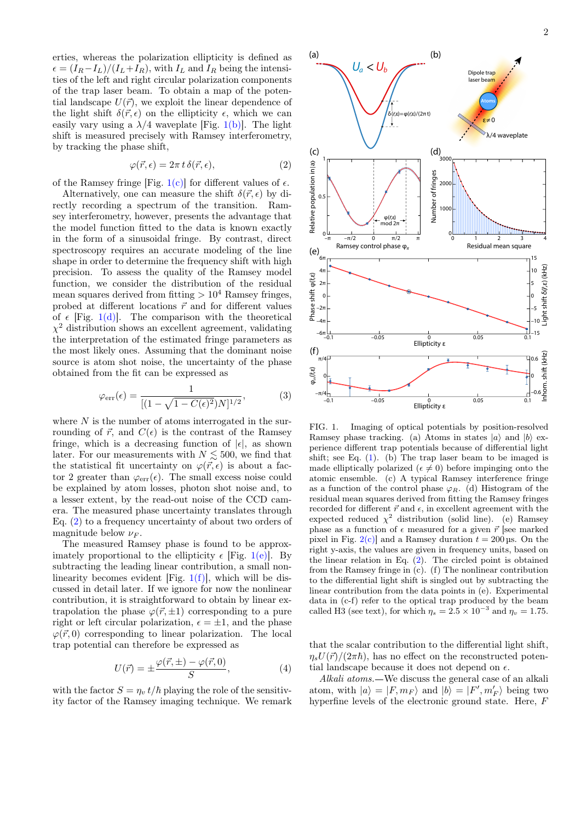erties, whereas the polarization ellipticity is defined as  $\epsilon = (I_R - I_L)/(I_L + I_R)$ , with  $I_L$  and  $I_R$  being the intensities of the left and right circular polarization components of the trap laser beam. To obtain a map of the potential landscape  $U(\vec{r})$ , we exploit the linear dependence of the light shift  $\delta(\vec{r}, \epsilon)$  on the ellipticity  $\epsilon$ , which we can easily vary using a  $\lambda/4$  waveplate [Fig. [1\(b\)\]](#page-1-0). The light shift is measured precisely with Ramsey interferometry, by tracking the phase shift,

<span id="page-1-1"></span>
$$
\varphi(\vec{r}, \epsilon) = 2\pi t \,\delta(\vec{r}, \epsilon),\tag{2}
$$

of the Ramsey fringe [Fig. [1\(c\)\]](#page-1-0) for different values of  $\epsilon$ .

Alternatively, one can measure the shift  $\delta(\vec{r}, \epsilon)$  by directly recording a spectrum of the transition. Ramsey interferometry, however, presents the advantage that the model function fitted to the data is known exactly in the form of a sinusoidal fringe. By contrast, direct spectroscopy requires an accurate modeling of the line shape in order to determine the frequency shift with high precision. To assess the quality of the Ramsey model function, we consider the distribution of the residual mean squares derived from fitting  $> 10^4$  Ramsey fringes, probed at different locations  $\vec{r}$  and for different values of  $\epsilon$  [Fig. [1\(d\)\]](#page-1-0). The comparison with the theoretical  $\chi^2$  distribution shows an excellent agreement, validating the interpretation of the estimated fringe parameters as the most likely ones. Assuming that the dominant noise source is atom shot noise, the uncertainty of the phase obtained from the fit can be expressed as

$$
\varphi_{\rm err}(\epsilon) = \frac{1}{[(1 - \sqrt{1 - C(\epsilon)^2})N]^{1/2}},
$$
\n(3)

where  $N$  is the number of atoms interrogated in the surrounding of  $\vec{r}$ , and  $C(\epsilon)$  is the contrast of the Ramsey fringe, which is a decreasing function of  $|\epsilon|$ , as shown later. For our measurements with  $N \lesssim 500$ , we find that the statistical fit uncertainty on  $\varphi(\vec{r}, \epsilon)$  is about a factor 2 greater than  $\varphi_{err}(\epsilon)$ . The small excess noise could be explained by atom losses, photon shot noise and, to a lesser extent, by the read-out noise of the CCD camera. The measured phase uncertainty translates through Eq. [\(2\)](#page-1-1) to a frequency uncertainty of about two orders of magnitude below  $\nu_F$ . the interpretation of the estimated fringe parameters as<br>
the most likely ones. Assuming that the dominant noise<br>
source is atom shot noise, the uncertainty of the phase<br>
obtained from the fit can be expressed as<br>  $\varphi_{\text$ 

The measured Ramsey phase is found to be approximately proportional to the ellipticity  $\epsilon$  [Fig. [1\(e\)\]](#page-1-0). By subtracting the leading linear contribution, a small nonlinearity becomes evident [Fig.  $1(f)$ ], which will be discussed in detail later. If we ignore for now the nonlinear contribution, it is straightforward to obtain by linear extrapolation the phase  $\varphi(\vec{r}, \pm 1)$  corresponding to a pure right or left circular polarization,  $\epsilon = \pm 1$ , and the phase  $\varphi(\vec{r},0)$  corresponding to linear polarization. The local trap potential can therefore be expressed as

<span id="page-1-2"></span>
$$
U(\vec{r}) = \pm \frac{\varphi(\vec{r}, \pm) - \varphi(\vec{r}, 0)}{S},\tag{4}
$$

with the factor  $S = \eta_v t/\hbar$  playing the role of the sensitiv-<br>ity factor of the Ramsey imaging technique. We remark



<span id="page-1-0"></span>FIG. 1. Imaging of optical potentials by position-resolved Ramsey phase tracking. (a) Atoms in states  $|a\rangle$  and  $|b\rangle$  experience different trap potentials because of differential light shift; see Eq. [\(1\)](#page-0-1). (b) The trap laser beam to be imaged is made elliptically polarized ( $\epsilon \neq 0$ ) before impinging onto the atomic ensemble. (c) A typical Ramsey interference fringe as a function of the control phase  $\varphi_R$ . (d) Histogram of the residual mean squares derived from fitting the Ramsey fringes recorded for different  $\vec{r}$  and  $\epsilon$ , in excellent agreement with the expected reduced  $\chi^2$  distribution (solid line). (e) Ramsey phase as a function of  $\epsilon$  measured for a given  $\vec{r}$  [see marked pixel in Fig.  $2(c)$  and a Ramsey duration  $t = 200 \,\text{\upmu s}$ . On the right y-axis, the values are given in frequency units, based on the linear relation in Eq.  $(2)$ . The circled point is obtained from the Ramsey fringe in (c). (f) The nonlinear contribution to the differential light shift is singled out by subtracting the linear contribution from the data points in (e). Experimental data in (c-f) refer to the optical trap produced by the beam called H3 (see text), for which  $\eta_s = 2.5 \times 10^{-3}$  and  $\eta_v = 1.75$ .

that the scalar contribution to the differential light shift,  $\eta_s U(\vec{r})/(2\pi\hbar)$ , has no effect on the reconstructed potential landscape because it does not depend on  $\epsilon$ .

Alkali atoms.—We discuss the general case of an alkali atom, with  $|a\rangle = |F, m_F\rangle$  and  $|b\rangle = |F', m'_F\rangle$  being two hyperfine levels of the electronic ground state. Here, F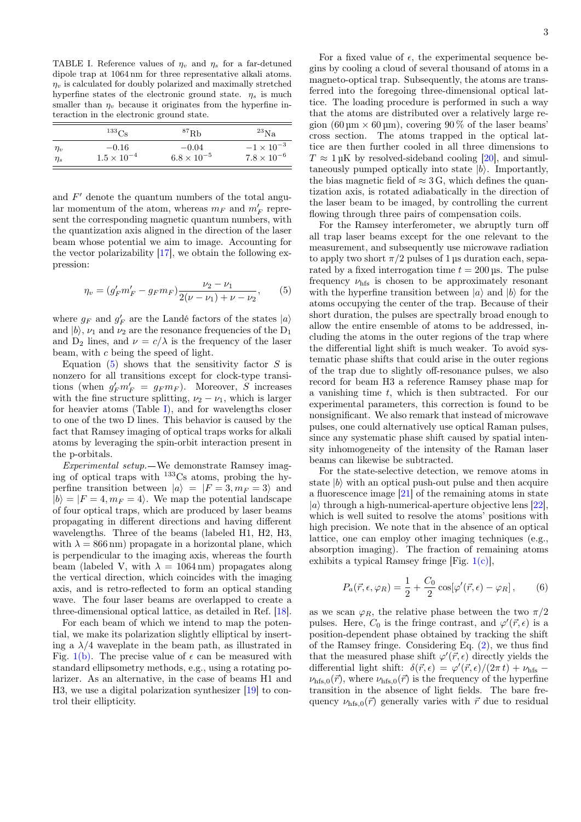<span id="page-2-1"></span>TABLE I. Reference values of  $\eta_v$  and  $\eta_s$  for a far-detuned dipole trap at 1064 nm for three representative alkali atoms.  $\eta_v$  is calculated for doubly polarized and maximally stretched hyperfine states of the electronic ground state.  $\eta_s$  is much smaller than  $\eta_v$  because it originates from the hyperfine interaction in the electronic ground state.

|          | $^{133}Cs$           | ${}^{87}$ Rh         | $^{23}$ Na           |
|----------|----------------------|----------------------|----------------------|
| $\eta_v$ | $-0.16$              | $-0.04$              | $-1 \times 10^{-3}$  |
| $\eta_s$ | $1.5 \times 10^{-4}$ | $6.8 \times 10^{-5}$ | $7.8 \times 10^{-6}$ |

and  $F'$  denote the quantum numbers of the total angular momentum of the atom, whereas  $m_F$  and  $m'_F$  represent the corresponding magnetic quantum numbers, with the quantization axis aligned in the direction of the laser beam whose potential we aim to image. Accounting for the vector polarizability [\[17\]](#page-5-16), we obtain the following expression:

<span id="page-2-0"></span>
$$
\eta_v = (g'_F m'_F - g_F m_F) \frac{\nu_2 - \nu_1}{2(\nu - \nu_1) + \nu - \nu_2},\qquad(5)
$$

where  $g_F$  and  $g_F'$  are the Landé factors of the states  $|a\rangle$ and  $|b\rangle$ ,  $\nu_1$  and  $\nu_2$  are the resonance frequencies of the D<sub>1</sub> and  $D_2$  lines, and  $\nu = c/\lambda$  is the frequency of the laser beam, with c being the speed of light.

Equation  $(5)$  shows that the sensitivity factor S is nonzero for all transitions except for clock-type transitions (when  $g'_F m'_F = g_F m_F$ ). Moreover, S increases with the fine structure splitting,  $\nu_2 - \nu_1$ , which is larger for heavier atoms (Table [I\)](#page-2-1), and for wavelengths closer to one of the two D lines. This behavior is caused by the fact that Ramsey imaging of optical traps works for alkali atoms by leveraging the spin-orbit interaction present in the p-orbitals.

Experimental setup. We demonstrate Ramsey imaging of optical traps with  $^{133}$ Cs atoms, probing the hyperfine transition between  $|a\rangle = |F = 3, m_F = 3\rangle$  and  $|b\rangle = |F = 4, m_F = 4\rangle$ . We map the potential landscape of four optical traps, which are produced by laser beams propagating in different directions and having different wavelengths. Three of the beams (labeled H1, H2, H3, with  $\lambda = 866 \text{ nm}$ ) propagate in a horizontal plane, which is perpendicular to the imaging axis, whereas the fourth beam (labeled V, with  $\lambda = 1064 \text{ nm}$ ) propagates along the vertical direction, which coincides with the imaging axis, and is retro-reflected to form an optical standing wave. The four laser beams are overlapped to create a three-dimensional optical lattice, as detailed in Ref. [\[18\]](#page-5-17).

For each beam of which we intend to map the potential, we make its polarization slightly elliptical by inserting a  $\lambda/4$  waveplate in the beam path, as illustrated in Fig. [1\(b\).](#page-1-0) The precise value of  $\epsilon$  can be measured with standard ellipsometry methods, e.g., using a rotating polarizer. As an alternative, in the case of beams H1 and H3, we use a digital polarization synthesizer [\[19\]](#page-5-18) to control their ellipticity.

For a fixed value of  $\epsilon$ , the experimental sequence begins by cooling a cloud of several thousand of atoms in a magneto-optical trap. Subsequently, the atoms are transferred into the foregoing three-dimensional optical lattice. The loading procedure is performed in such a way that the atoms are distributed over a relatively large region  $(60 \,\text{µm} \times 60 \,\text{µm})$ , covering 90 % of the laser beams' cross section. The atoms trapped in the optical lattice are then further cooled in all three dimensions to  $T \approx 1 \,\mu\text{K}$  by resolved-sideband cooling [\[20\]](#page-5-19), and simultaneously pumped optically into state  $|b\rangle$ . Importantly, the bias magnetic field of  $\approx 3 \text{ G}$ , which defines the quantization axis, is rotated adiabatically in the direction of the laser beam to be imaged, by controlling the current flowing through three pairs of compensation coils.

For the Ramsey interferometer, we abruptly turn off all trap laser beams except for the one relevant to the measurement, and subsequently use microwave radiation to apply two short  $\pi/2$  pulses of 1 µs duration each, separated by a fixed interrogation time  $t = 200 \,\text{\upmu s}$ . The pulse frequency  $\nu_{\text{hfs}}$  is chosen to be approximately resonant with the hyperfine transition between  $|a\rangle$  and  $|b\rangle$  for the atoms occupying the center of the trap. Because of their short duration, the pulses are spectrally broad enough to allow the entire ensemble of atoms to be addressed, including the atoms in the outer regions of the trap where the differential light shift is much weaker. To avoid systematic phase shifts that could arise in the outer regions of the trap due to slightly off-resonance pulses, we also record for beam H3 a reference Ramsey phase map for a vanishing time  $t$ , which is then subtracted. For our experimental parameters, this correction is found to be nonsignificant. We also remark that instead of microwave pulses, one could alternatively use optical Raman pulses, since any systematic phase shift caused by spatial intensity inhomogeneity of the intensity of the Raman laser beams can likewise be subtracted.

For the state-selective detection, we remove atoms in state  $|b\rangle$  with an optical push-out pulse and then acquire a fluorescence image [\[21\]](#page-5-20) of the remaining atoms in state  $|a\rangle$  through a high-numerical-aperture objective lens [\[22\]](#page-5-21), which is well suited to resolve the atoms' positions with high precision. We note that in the absence of an optical lattice, one can employ other imaging techniques (e.g., absorption imaging). The fraction of remaining atoms exhibits a typical Ramsey fringe [Fig.  $1(c)$ ],

$$
P_a(\vec{r}, \epsilon, \varphi_R) = \frac{1}{2} + \frac{C_0}{2} \cos[\varphi'(\vec{r}, \epsilon) - \varphi_R], \qquad (6)
$$

as we scan  $\varphi_R$ , the relative phase between the two  $\pi/2$ pulses. Here,  $C_0$  is the fringe contrast, and  $\varphi'(\vec{r}, \epsilon)$  is a position-dependent phase obtained by tracking the shift of the Ramsey fringe. Considering Eq. [\(2\)](#page-1-1), we thus find that the measured phase shift  $\varphi'(\vec{r}, \epsilon)$  directly yields the differential light shift:  $\delta(\vec{r}, \epsilon) = \varphi'(\vec{r}, \epsilon)/(2\pi t) + \nu_{\text{hfs}}$  $\nu_{\text{hfs},0}(\vec{r})$ , where  $\nu_{\text{hfs},0}(\vec{r})$  is the frequency of the hyperfine transition in the absence of light fields. The bare frequency  $\nu_{\text{hfs}}(\vec{r})$  generally varies with  $\vec{r}$  due to residual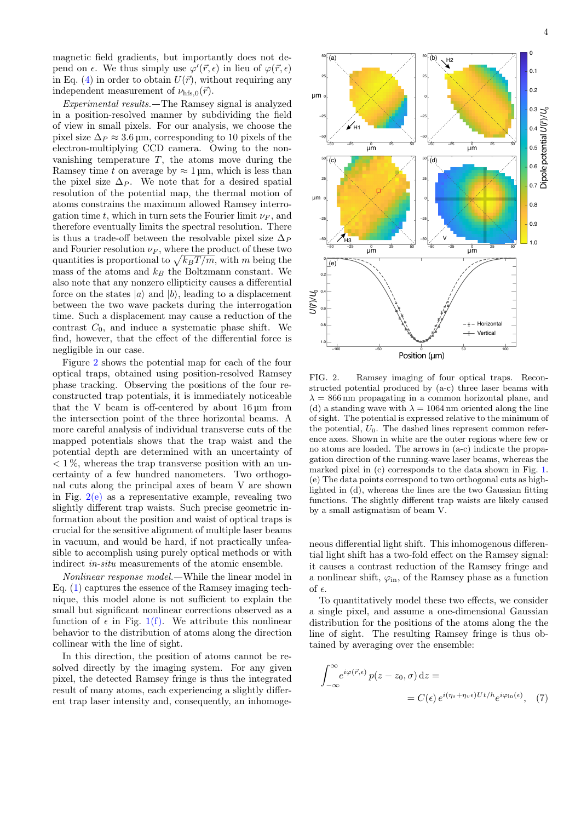magnetic field gradients, but importantly does not depend on  $\epsilon$ . We thus simply use  $\varphi'(\vec{r}, \epsilon)$  in lieu of  $\varphi(\vec{r}, \epsilon)$ in Eq. [\(4\)](#page-1-2) in order to obtain  $U(\vec{r})$ , without requiring any independent measurement of  $\nu_{\text{hfs},0}(\vec{r})$ .

Experimental results. The Ramsey signal is analyzed in a position-resolved manner by subdividing the field of view in small pixels. For our analysis, we choose the pixel size  $\Delta_P \approx 3.6$  µm, corresponding to 10 pixels of the electron-multiplying CCD camera. Owing to the nonvanishing temperature  $T$ , the atoms move during the Ramsey time t on average by  $\approx 1 \,\text{\mu m}$ , which is less than the pixel size  $\Delta_P$ . We note that for a desired spatial resolution of the potential map, the thermal motion of atoms constrains the maximum allowed Ramsey interrogation time t, which in turn sets the Fourier limit  $\nu_F$ , and therefore eventually limits the spectral resolution. There is thus a trade-off between the resolvable pixel size  $\Delta_P$ and Fourier resolution  $\nu_F$ , where the product of these two quantities is proportional to  $\sqrt{k_B T / m}$ , with m being the mass of the atoms and  $k_B$  the Boltzmann constant. We also note that any nonzero ellipticity causes a differential force on the states  $|a\rangle$  and  $|b\rangle$ , leading to a displacement between the two wave packets during the interrogation time. Such a displacement may cause a reduction of the contrast  $C_0$ , and induce a systematic phase shift. We find, however, that the effect of the differential force is negligible in our case.

Figure [2](#page-3-0) shows the potential map for each of the four optical traps, obtained using position-resolved Ramsey phase tracking. Observing the positions of the four reconstructed trap potentials, it is immediately noticeable that the V beam is off-centered by about  $16 \mu m$  from the intersection point of the three horizontal beams. A more careful analysis of individual transverse cuts of the mapped potentials shows that the trap waist and the potential depth are determined with an uncertainty of  $< 1\%$ , whereas the trap transverse position with an uncertainty of a few hundred nanometers. Two orthogonal cuts along the principal axes of beam V are shown in Fig.  $2(e)$  as a representative example, revealing two slightly different trap waists. Such precise geometric information about the position and waist of optical traps is crucial for the sensitive alignment of multiple laser beams in vacuum, and would be hard, if not practically unfeasible to accomplish using purely optical methods or with indirect in-situ measurements of the atomic ensemble.

Nonlinear response model. While the linear model in Eq. [\(1\)](#page-0-1) captures the essence of the Ramsey imaging technique, this model alone is not sufficient to explain the small but significant nonlinear corrections observed as a function of  $\epsilon$  in Fig. [1\(f\).](#page-1-0) We attribute this nonlinear behavior to the distribution of atoms along the direction collinear with the line of sight.

In this direction, the position of atoms cannot be resolved directly by the imaging system. For any given pixel, the detected Ramsey fringe is thus the integrated result of many atoms, each experiencing a slightly different trap laser intensity and, consequently, an inhomoge-



<span id="page-3-0"></span>FIG. 2. Ramsey imaging of four optical traps. Reconstructed potential produced by (a-c) three laser beams with  $\lambda = 866$  nm propagating in a common horizontal plane, and (d) a standing wave with  $\lambda = 1064$  nm oriented along the line of sight. The potential is expressed relative to the minimum of the potential,  $U_0$ . The dashed lines represent common reference axes. Shown in white are the outer regions where few or no atoms are loaded. The arrows in (a-c) indicate the propagation direction of the running-wave laser beams, whereas the marked pixel in (c) corresponds to the data shown in Fig. [1.](#page-1-0) (e) The data points correspond to two orthogonal cuts as highlighted in (d), whereas the lines are the two Gaussian fitting functions. The slightly different trap waists are likely caused by a small astigmatism of beam V.

neous differential light shift. This inhomogenous differential light shift has a two-fold effect on the Ramsey signal: it causes a contrast reduction of the Ramsey fringe and a nonlinear shift,  $\varphi_{\text{in}}$ , of the Ramsey phase as a function of  $\epsilon$ .

To quantitatively model these two effects, we consider a single pixel, and assume a one-dimensional Gaussian distribution for the positions of the atoms along the the line of sight. The resulting Ramsey fringe is thus obtained by averaging over the ensemble:

<span id="page-3-1"></span>
$$
\int_{-\infty}^{\infty} e^{i\varphi(\vec{r}, \epsilon)} p(z - z_0, \sigma) dz =
$$
  
=  $C(\epsilon) e^{i(\eta_s + \eta_v \epsilon)Ut/h} e^{i\varphi_{\text{in}}(\epsilon)},$  (7)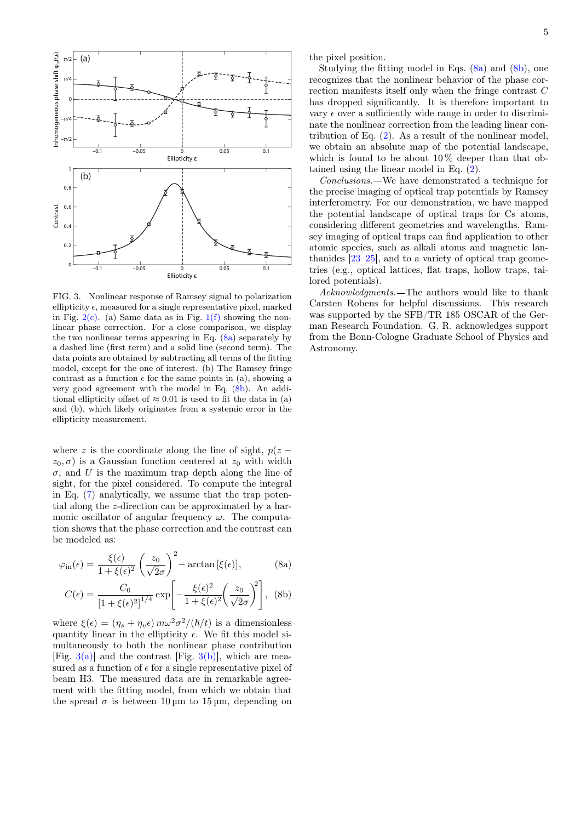

<span id="page-4-2"></span>FIG. 3. Nonlinear response of Ramsey signal to polarization ellipticity  $\epsilon$ , measured for a single representative pixel, marked in Fig.  $2(c)$ . (a) Same data as in Fig. [1\(f\)](#page-1-0) showing the nonlinear phase correction. For a close comparison, we display the two nonlinear terms appearing in Eq.  $(8a)$  separately by a dashed line (first term) and a solid line (second term). The data points are obtained by subtracting all terms of the fitting model, except for the one of interest. (b) The Ramsey fringe contrast as a function  $\epsilon$  for the same points in (a), showing a very good agreement with the model in Eq. [\(8b\)](#page-4-1). An additional ellipticity offset of  $\approx 0.01$  is used to fit the data in (a) and (b), which likely originates from a systemic error in the ellipticity measurement.

where z is the coordinate along the line of sight,  $p(z$  $z_0, \sigma$  is a Gaussian function centered at  $z_0$  with width  $\sigma$ , and U is the maximum trap depth along the line of sight, for the pixel considered. To compute the integral in Eq. [\(7\)](#page-3-1) analytically, we assume that the trap potential along the z-direction can be approximated by a harmonic oscillator of angular frequency  $\omega$ . The computation shows that the phase correction and the contrast can be modeled as:

$$
\varphi_{\rm in}(\epsilon) = \frac{\xi(\epsilon)}{1 + \xi(\epsilon)^2} \left(\frac{z_0}{\sqrt{2}\sigma}\right)^2 - \arctan\left[\xi(\epsilon)\right],\tag{8a}
$$

<span id="page-4-1"></span><span id="page-4-0"></span>
$$
C(\epsilon) = \frac{C_0}{\left[1 + \xi(\epsilon)^2\right]^{1/4}} \exp\left[-\frac{\xi(\epsilon)^2}{1 + \xi(\epsilon)^2} \left(\frac{z_0}{\sqrt{2}\sigma}\right)^2\right], \text{ (8b)}
$$

where  $\xi(\epsilon) = (\eta_s + \eta_v \epsilon) m \omega^2 \sigma^2 /(\hbar/t)$  is a dimensionless quantity linear in the ellipticity  $\epsilon$ . We fit this model simultaneously to both the nonlinear phase contribution [Fig.  $3(a)$ ] and the contrast [Fig.  $3(b)$ ], which are measured as a function of  $\epsilon$  for a single representative pixel of beam H3. The measured data are in remarkable agreement with the fitting model, from which we obtain that the spread  $\sigma$  is between 10 um to 15 um, depending on the pixel position.

Studying the fitting model in Eqs. [\(8a\)](#page-4-0) and [\(8b\)](#page-4-1), one recognizes that the nonlinear behavior of the phase correction manifests itself only when the fringe contrast C has dropped significantly. It is therefore important to vary  $\epsilon$  over a sufficiently wide range in order to discriminate the nonlinear correction from the leading linear contribution of Eq. [\(2\)](#page-1-1). As a result of the nonlinear model, we obtain an absolute map of the potential landscape, which is found to be about  $10\%$  deeper than that obtained using the linear model in Eq. [\(2\)](#page-1-1).

Conclusions. We have demonstrated a technique for the precise imaging of optical trap potentials by Ramsey interferometry. For our demonstration, we have mapped the potential landscape of optical traps for Cs atoms, considering different geometries and wavelengths. Ramsey imaging of optical traps can find application to other atomic species, such as alkali atoms and magnetic lanthanides [\[23–](#page-5-22)[25\]](#page-5-23), and to a variety of optical trap geometries (e.g., optical lattices, flat traps, hollow traps, tailored potentials).

Acknowledgments. The authors would like to thank Carsten Robens for helpful discussions. This research was supported by the SFB/TR 185 OSCAR of the German Research Foundation. G. R. acknowledges support from the Bonn-Cologne Graduate School of Physics and Astronomy.